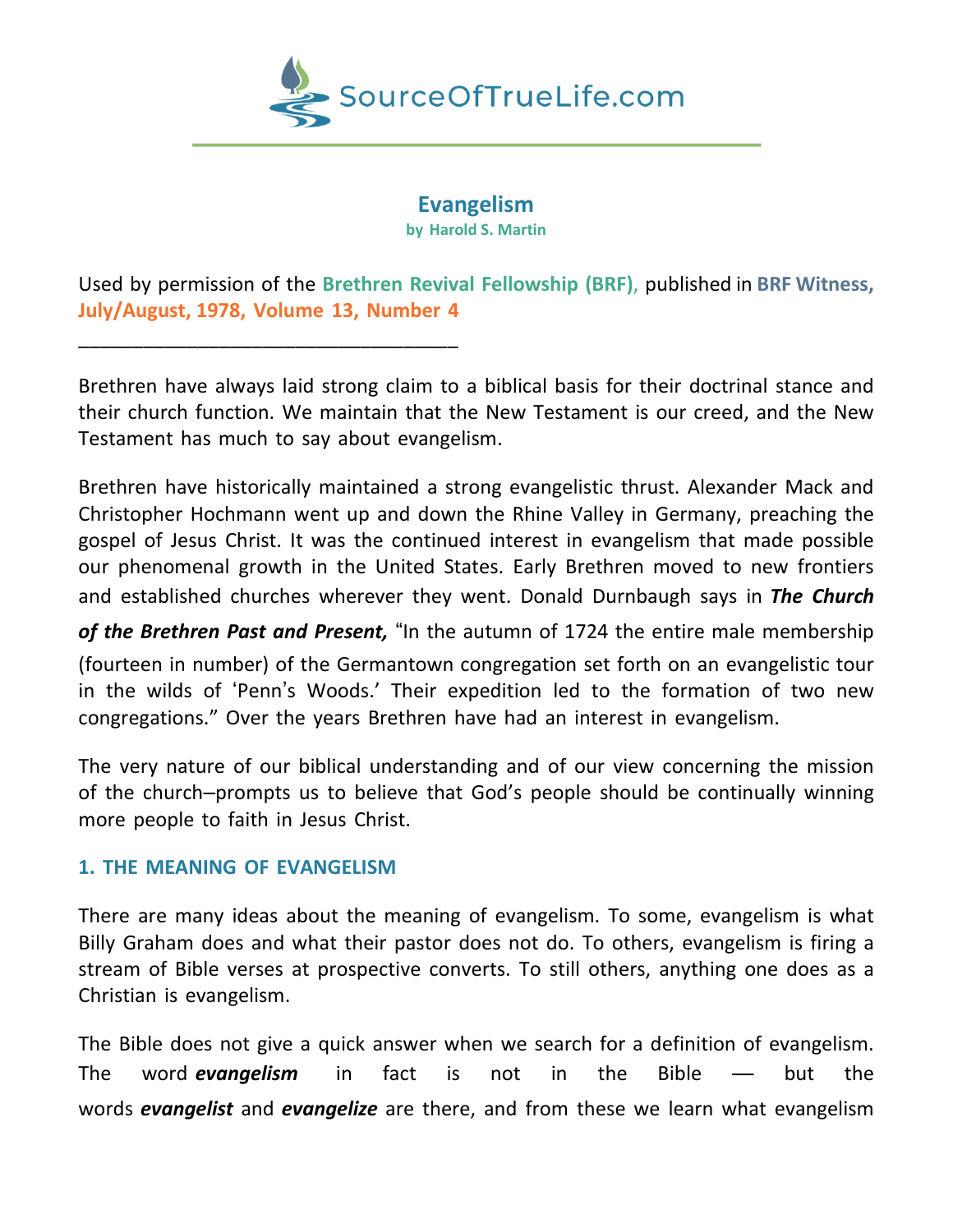

**Evangelism by Harold S. Martin**

Used by permission of the **Brethren Revival Fellowship (BRF)**, published in **BRF Witness, July/August, 1978, Volume 13, Number 4**

Brethren have always laid strong claim to a biblical basis for their doctrinal stance and their church function. We maintain that the New Testament is our creed, and the New Testament has much to say about evangelism.

Brethren have historically maintained a strong evangelistic thrust. Alexander Mack and Christopher Hochmann went up and down the Rhine Valley in Germany, preaching the gospel of Jesus Christ. It was the continued interest in evangelism that made possible our phenomenal growth in the United States. Early Brethren moved to new frontiers and established churches wherever they went. Donald Durnbaugh says in *The Church*

*of the Brethren Past and Present,* "In the autumn of 1724 the entire male membership

(fourteen in number) of the Germantown congregation set forth on an evangelistic tour in the wilds of 'Penn's Woods.' Their expedition led to the formation of two new congregations." Over the years Brethren have had an interest in evangelism.

The very nature of our biblical understanding and of our view concerning the mission of the church–prompts us to believe that God's people should be continually winning more people to faith in Jesus Christ.

## **1. THE MEANING OF EVANGELISM**

\_\_\_\_\_\_\_\_\_\_\_\_\_\_\_\_\_\_\_\_\_\_\_\_\_\_\_\_\_\_\_\_\_\_\_

There are many ideas about the meaning of evangelism. To some, evangelism is what Billy Graham does and what their pastor does not do. To others, evangelism is firing a stream of Bible verses at prospective converts. To still others, anything one does as a Christian is evangelism.

The Bible does not give a quick answer when we search for a definition of evangelism. The word *evangelism* in fact is not in the Bible — but the words *evangelist* and *evangelize* are there, and from these we learn what evangelism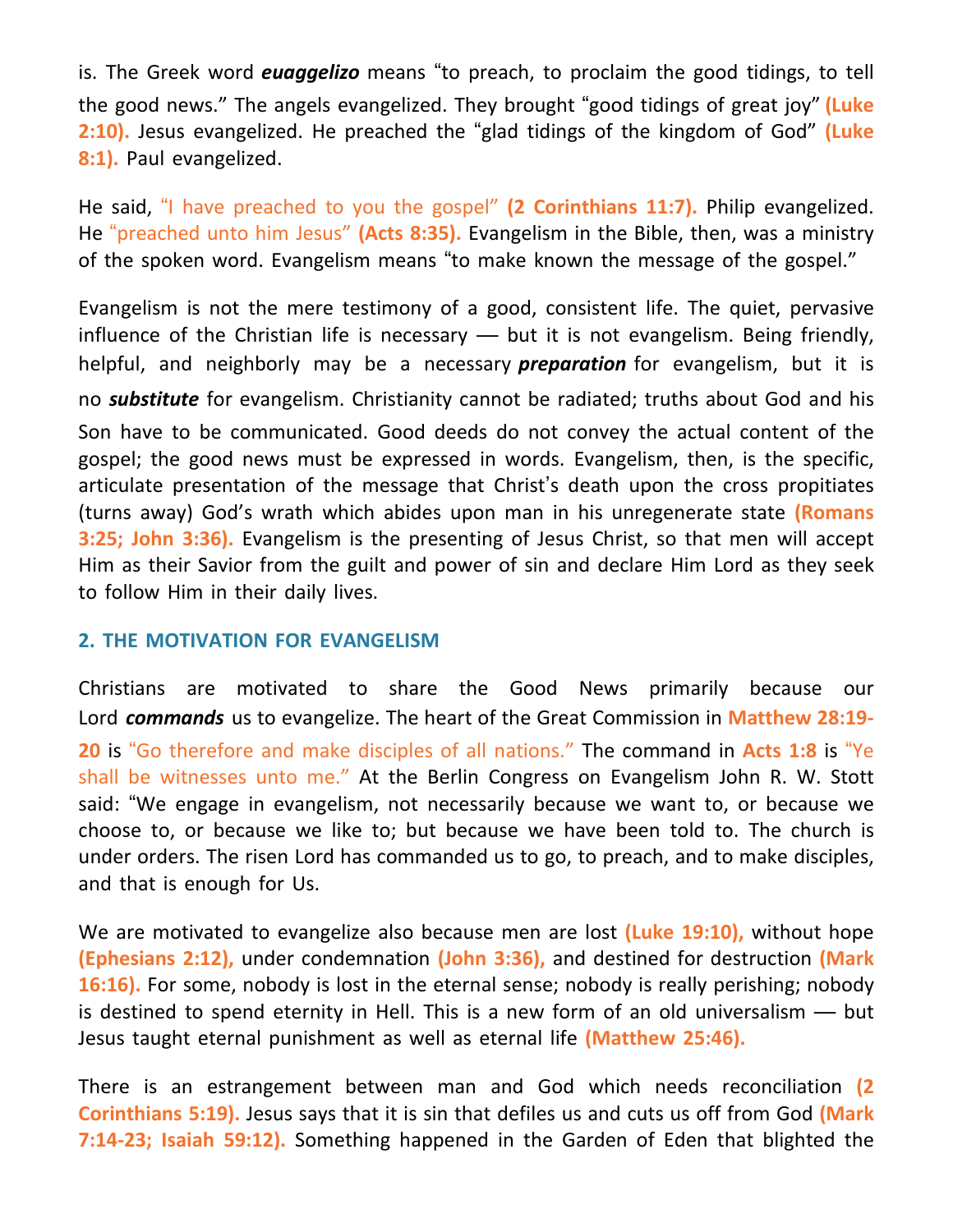is. The Greek word *euaggelizo* means "to preach, to proclaim the good tidings, to tell the good news." The angels evangelized. They brought "good tidings of great joy" **(Luke 2:10).** Jesus evangelized. He preached the "glad tidings of the kingdom of God" **(Luke 8:1).** Paul evangelized.

He said, "I have preached to you the gospel" **(2 Corinthians 11:7).** Philip evangelized. He "preached unto him Jesus" **(Acts 8:35).** Evangelism in the Bible, then, was a ministry of the spoken word. Evangelism means "to make known the message of the gospel."

Evangelism is not the mere testimony of a good, consistent life. The quiet, pervasive influence of the Christian life is necessary — but it is not evangelism. Being friendly, helpful, and neighborly may be a necessary *preparation* for evangelism, but it is no *substitute* for evangelism. Christianity cannot be radiated; truths about God and his Son have to be communicated. Good deeds do not convey the actual content of the gospel; the good news must be expressed in words. Evangelism, then, is the specific, articulate presentation of the message that Christ's death upon the cross propitiates (turns away) God's wrath which abides upon man in his unregenerate state **(Romans 3:25; John 3:36).** Evangelism is the presenting of Jesus Christ, so that men will accept Him as their Savior from the guilt and power of sin and declare Him Lord as they seek to follow Him in their daily lives.

## **2. THE MOTIVATION FOR EVANGELISM**

Christians are motivated to share the Good News primarily because our Lord *commands* us to evangelize. The heart of the Great Commission in **Matthew 28:19- 20** is "Go therefore and make disciples of all nations." The command in **Acts 1:8** is "Ye shall be witnesses unto me." At the Berlin Congress on Evangelism John R. W. Stott said: "We engage in evangelism, not necessarily because we want to, or because we choose to, or because we like to; but because we have been told to. The church is under orders. The risen Lord has commanded us to go, to preach, and to make disciples, and that is enough for Us.

We are motivated to evangelize also because men are lost **(Luke 19:10),** without hope **(Ephesians 2:12),** under condemnation **(John 3:36),** and destined for destruction **(Mark 16:16).** For some, nobody is lost in the eternal sense; nobody is really perishing; nobody is destined to spend eternity in Hell. This is a new form of an old universalism — but Jesus taught eternal punishment as well as eternal life **(Matthew 25:46).**

There is an estrangement between man and God which needs reconciliation **(2 Corinthians 5:19).** Jesus says that it is sin that defiles us and cuts us off from God **(Mark 7:14-23; Isaiah 59:12).** Something happened in the Garden of Eden that blighted the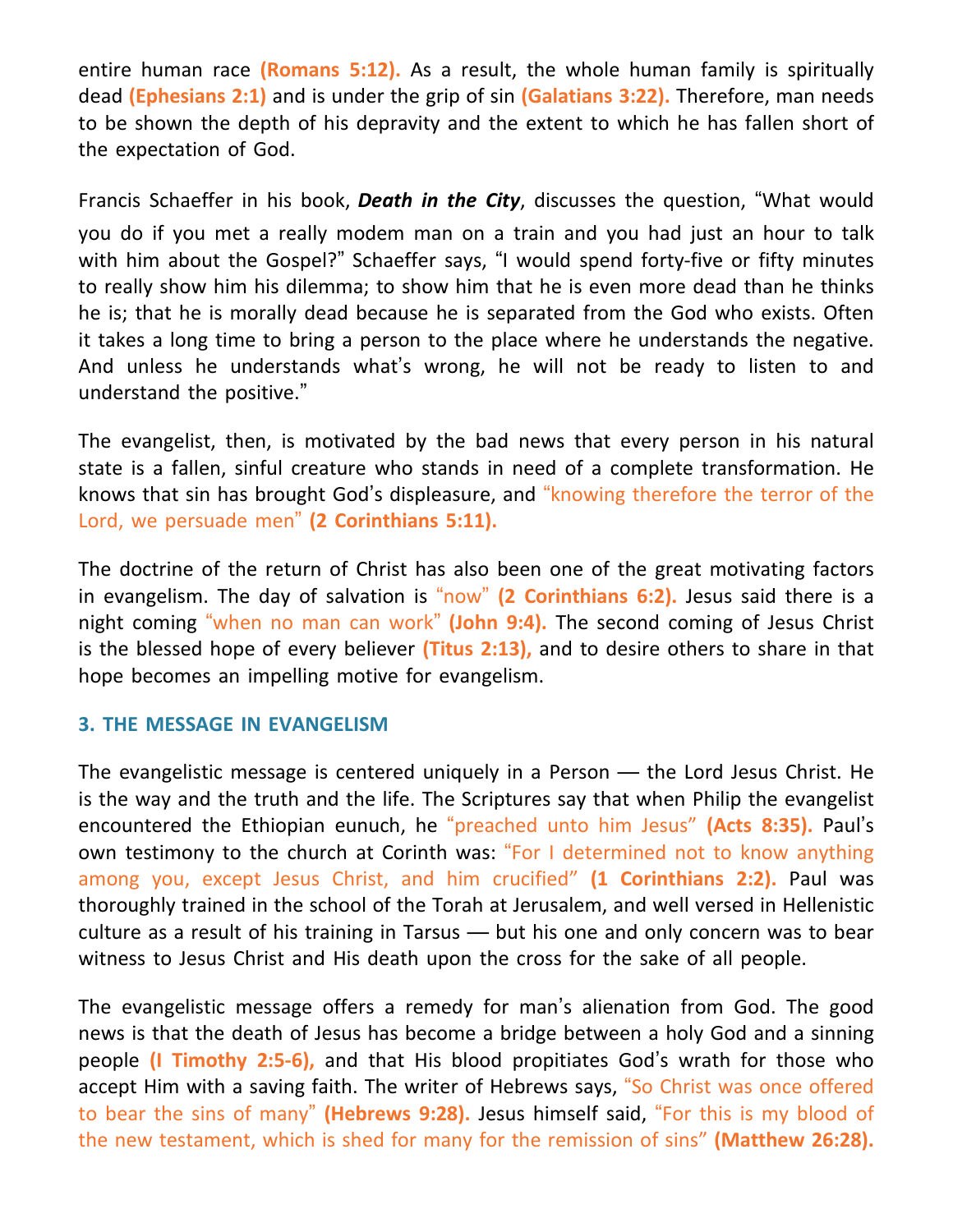entire human race **(Romans 5:12).** As a result, the whole human family is spiritually dead **(Ephesians 2:1)** and is under the grip of sin **(Galatians 3:22).** Therefore, man needs to be shown the depth of his depravity and the extent to which he has fallen short of the expectation of God.

Francis Schaeffer in his book, *Death in the City*, discusses the question, "What would you do if you met a really modem man on a train and you had just an hour to talk with him about the Gospel?" Schaeffer says, "I would spend forty-five or fifty minutes to really show him his dilemma; to show him that he is even more dead than he thinks he is; that he is morally dead because he is separated from the God who exists. Often it takes a long time to bring a person to the place where he understands the negative. And unless he understands what's wrong, he will not be ready to listen to and understand the positive."

The evangelist, then, is motivated by the bad news that every person in his natural state is a fallen, sinful creature who stands in need of a complete transformation. He knows that sin has brought God's displeasure, and "knowing therefore the terror of the Lord, we persuade men" **(2 Corinthians 5:11).**

The doctrine of the return of Christ has also been one of the great motivating factors in evangelism. The day of salvation is "now" **(2 Corinthians 6:2).** Jesus said there is a night coming "when no man can work" **(John 9:4).** The second coming of Jesus Christ is the blessed hope of every believer **(Titus 2:13),** and to desire others to share in that hope becomes an impelling motive for evangelism.

## **3. THE MESSAGE IN EVANGELISM**

The evangelistic message is centered uniquely in a Person — the Lord Jesus Christ. He is the way and the truth and the life. The Scriptures say that when Philip the evangelist encountered the Ethiopian eunuch, he "preached unto him Jesus" **(Acts 8:35).** Paul's own testimony to the church at Corinth was: "For I determined not to know anything among you, except Jesus Christ, and him crucified" **(1 Corinthians 2:2).** Paul was thoroughly trained in the school of the Torah at Jerusalem, and well versed in Hellenistic culture as a result of his training in Tarsus — but his one and only concern was to bear witness to Jesus Christ and His death upon the cross for the sake of all people.

The evangelistic message offers a remedy for man's alienation from God. The good news is that the death of Jesus has become a bridge between a holy God and a sinning people **(I Timothy 2:5-6),** and that His blood propitiates God's wrath for those who accept Him with a saving faith. The writer of Hebrews says, "So Christ was once offered to bear the sins of many" **(Hebrews 9:28).** Jesus himself said, "For this is my blood of the new testament, which is shed for many for the remission of sins" **(Matthew 26:28).**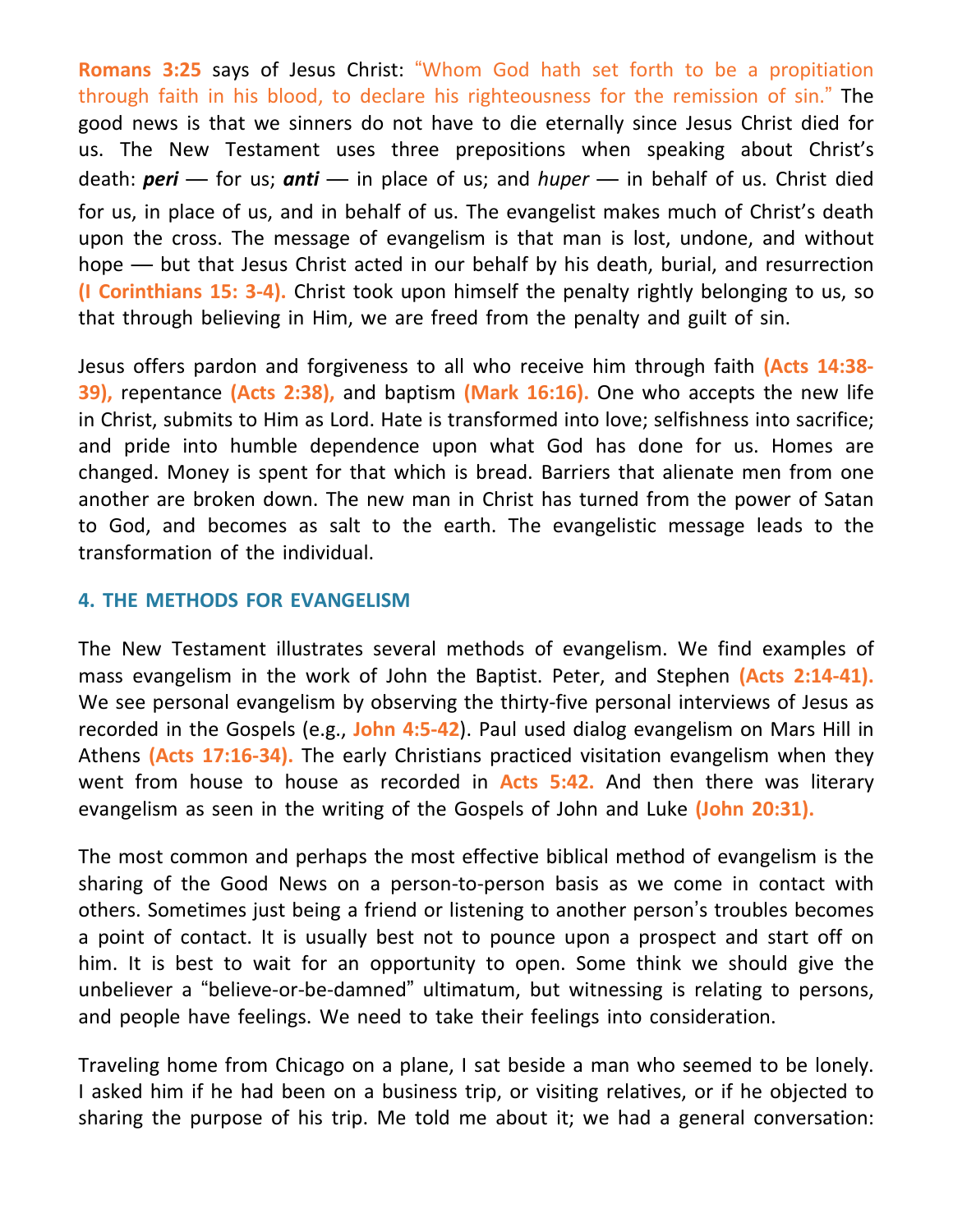**Romans 3:25** says of Jesus Christ: "Whom God hath set forth to be a propitiation through faith in his blood, to declare his righteousness for the remission of sin." The good news is that we sinners do not have to die eternally since Jesus Christ died for us. The New Testament uses three prepositions when speaking about Christ's death: *peri* — for us; *anti* — in place of us; and *huper* — in behalf of us. Christ died for us, in place of us, and in behalf of us. The evangelist makes much of Christ's death upon the cross. The message of evangelism is that man is lost, undone, and without hope — but that Jesus Christ acted in our behalf by his death, burial, and resurrection **(I Corinthians 15: 3-4).** Christ took upon himself the penalty rightly belonging to us, so that through believing in Him, we are freed from the penalty and guilt of sin.

Jesus offers pardon and forgiveness to all who receive him through faith **(Acts 14:38- 39),** repentance **(Acts 2:38),** and baptism **(Mark 16:16).** One who accepts the new life in Christ, submits to Him as Lord. Hate is transformed into love; selfishness into sacrifice; and pride into humble dependence upon what God has done for us. Homes are changed. Money is spent for that which is bread. Barriers that alienate men from one another are broken down. The new man in Christ has turned from the power of Satan to God, and becomes as salt to the earth. The evangelistic message leads to the transformation of the individual.

## **4. THE METHODS FOR EVANGELISM**

The New Testament illustrates several methods of evangelism. We find examples of mass evangelism in the work of John the Baptist. Peter, and Stephen **(Acts 2:14-41).** We see personal evangelism by observing the thirty-five personal interviews of Jesus as recorded in the Gospels (e.g., **John 4:5-42**). Paul used dialog evangelism on Mars Hill in Athens **(Acts 17:16-34).** The early Christians practiced visitation evangelism when they went from house to house as recorded in **Acts 5:42.** And then there was literary evangelism as seen in the writing of the Gospels of John and Luke **(John 20:31).**

The most common and perhaps the most effective biblical method of evangelism is the sharing of the Good News on a person-to-person basis as we come in contact with others. Sometimes just being a friend or listening to another person's troubles becomes a point of contact. It is usually best not to pounce upon a prospect and start off on him. It is best to wait for an opportunity to open. Some think we should give the unbeliever a "believe-or-be-damned" ultimatum, but witnessing is relating to persons, and people have feelings. We need to take their feelings into consideration.

Traveling home from Chicago on a plane, I sat beside a man who seemed to be lonely. I asked him if he had been on a business trip, or visiting relatives, or if he objected to sharing the purpose of his trip. Me told me about it; we had a general conversation: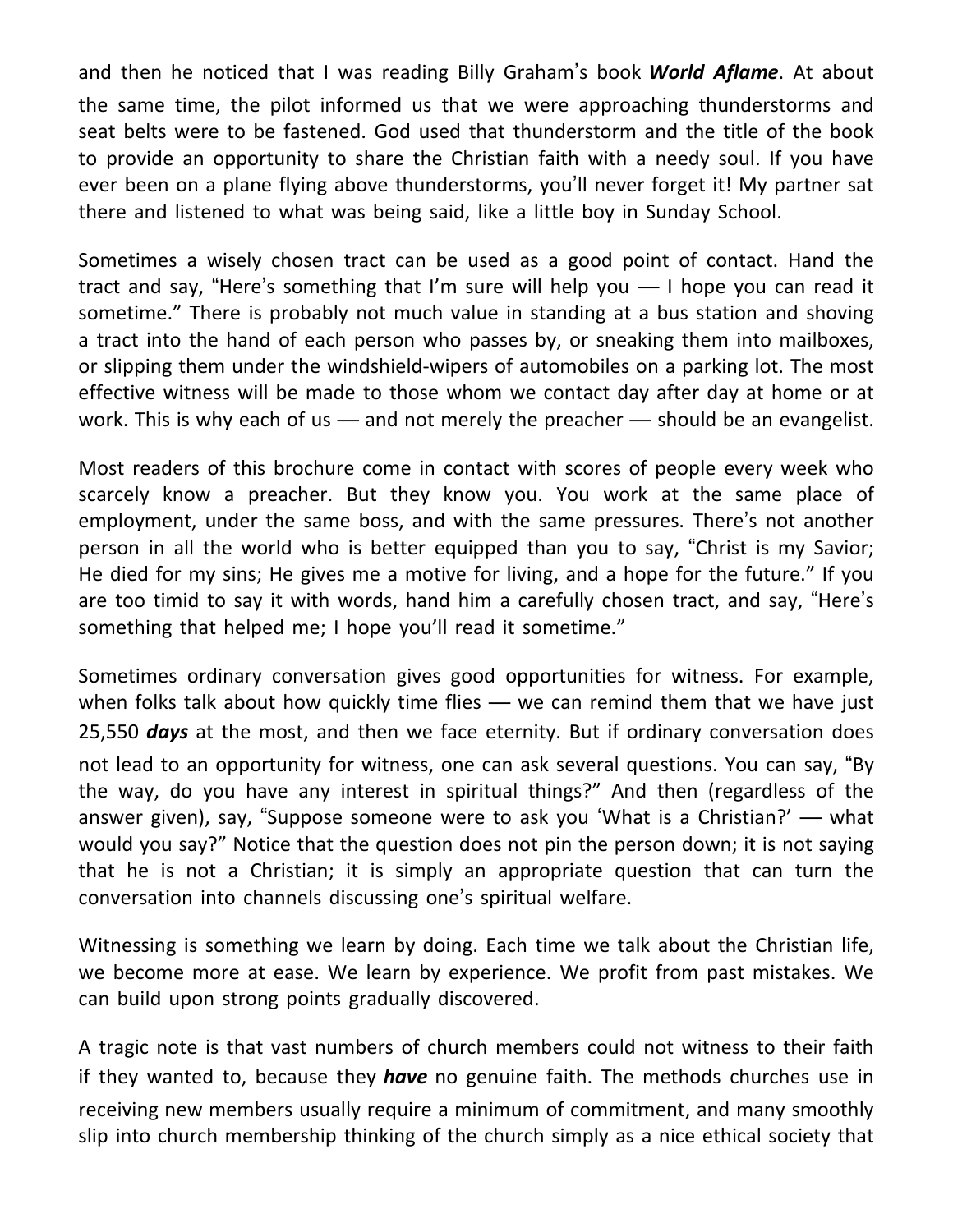and then he noticed that I was reading Billy Graham's book *World Aflame*. At about the same time, the pilot informed us that we were approaching thunderstorms and seat belts were to be fastened. God used that thunderstorm and the title of the book to provide an opportunity to share the Christian faith with a needy soul. If you have ever been on a plane flying above thunderstorms, you'll never forget it! My partner sat there and listened to what was being said, like a little boy in Sunday School.

Sometimes a wisely chosen tract can be used as a good point of contact. Hand the tract and say, "Here's something that I'm sure will help you — I hope you can read it sometime." There is probably not much value in standing at a bus station and shoving a tract into the hand of each person who passes by, or sneaking them into mailboxes, or slipping them under the windshield-wipers of automobiles on a parking lot. The most effective witness will be made to those whom we contact day after day at home or at work. This is why each of us — and not merely the preacher — should be an evangelist.

Most readers of this brochure come in contact with scores of people every week who scarcely know a preacher. But they know you. You work at the same place of employment, under the same boss, and with the same pressures. There's not another person in all the world who is better equipped than you to say, "Christ is my Savior; He died for my sins; He gives me a motive for living, and a hope for the future." If you are too timid to say it with words, hand him a carefully chosen tract, and say, "Here's something that helped me; I hope you'll read it sometime."

Sometimes ordinary conversation gives good opportunities for witness. For example, when folks talk about how quickly time flies — we can remind them that we have just 25,550 *days* at the most, and then we face eternity. But if ordinary conversation does not lead to an opportunity for witness, one can ask several questions. You can say, "By the way, do you have any interest in spiritual things?" And then (regardless of the answer given), say, "Suppose someone were to ask you 'What is a Christian?' — what would you say?" Notice that the question does not pin the person down; it is not saying that he is not a Christian; it is simply an appropriate question that can turn the conversation into channels discussing one's spiritual welfare.

Witnessing is something we learn by doing. Each time we talk about the Christian life, we become more at ease. We learn by experience. We profit from past mistakes. We can build upon strong points gradually discovered.

A tragic note is that vast numbers of church members could not witness to their faith if they wanted to, because they *have* no genuine faith. The methods churches use in receiving new members usually require a minimum of commitment, and many smoothly slip into church membership thinking of the church simply as a nice ethical society that